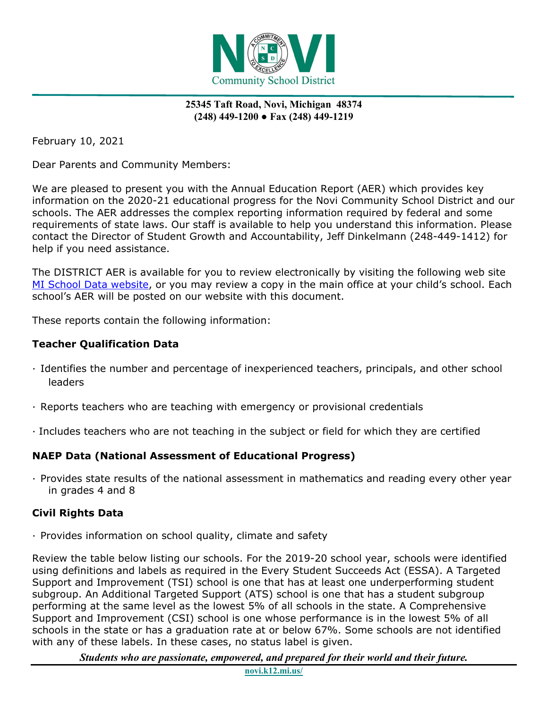

## **25345 Taft Road, Novi, Michigan 48374 (248) 449-1200 ● Fax (248) 449-1219**

February 10, 2021

Dear Parents and Community Members:

We are pleased to present you with the Annual Education Report (AER) which provides key information on the 2020-21 educational progress for the Novi Community School District and our schools. The AER addresses the complex reporting information required by federal and some requirements of state laws. Our staff is available to help you understand this information. Please contact the Director of Student Growth and Accountability, Jeff Dinkelmann (248-449-1412) for help if you need assistance.

The DISTRICT AER is available for you to review electronically by visiting the following web site [MI School Data website,](https://bit.ly/39CRti7) or you may review a copy in the main office at your child's school. Each school's AER will be posted on our website with this document.

These reports contain the following information:

# **Teacher Qualification Data**

- · Identifies the number and percentage of inexperienced teachers, principals, and other school leaders
- · Reports teachers who are teaching with emergency or provisional credentials
- · Includes teachers who are not teaching in the subject or field for which they are certified

## **NAEP Data (National Assessment of Educational Progress)**

· Provides state results of the national assessment in mathematics and reading every other year in grades 4 and 8

## **Civil Rights Data**

· Provides information on school quality, climate and safety

Review the table below listing our schools. For the 2019-20 school year, schools were identified using definitions and labels as required in the Every Student Succeeds Act (ESSA). A Targeted Support and Improvement (TSI) school is one that has at least one underperforming student subgroup. An Additional Targeted Support (ATS) school is one that has a student subgroup performing at the same level as the lowest 5% of all schools in the state. A Comprehensive Support and Improvement (CSI) school is one whose performance is in the lowest 5% of all schools in the state or has a graduation rate at or below 67%. Some schools are not identified with any of these labels. In these cases, no status label is given.

*Students who are passionate, empowered, and prepared for their world and their future.*